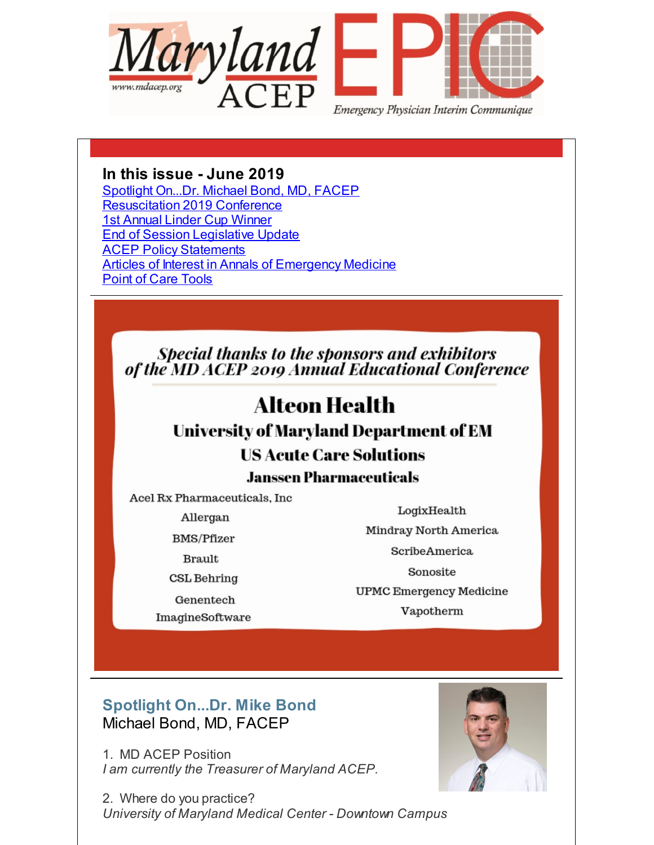<span id="page-0-0"></span>

## **In this issue - June 2019**

[Spotlight](#page-0-0) On...Dr. Michael Bond, MD, FACEP [Resuscitation](#page-0-0) 2019 Conference 1st [Annual](#page-0-0) Linder Cup Winner End of Session [Legislative](#page-0-0) Update **ACEP Policy [Statements](#page-0-0) Articles of Interest in Annals of [Emergency](#page-0-0) Medicine** Point of Care [Tools](#page-0-0)

Special thanks to the sponsors and exhibitors<br>of the MD ACEP 2019 Annual Educational Conference

# **Alteon Health**

**University of Maryland Department of EM** 

# **US Acute Care Solutions**

## **Janssen Pharmaceuticals**

Acel Rx Pharmaceuticals, Inc

Allergan

**BMS/Pfizer** 

**Brault** 

**CSL Behring** 

Genentech

ImagineSoftware

LogixHealth Mindray North America ScribeAmerica Sonosite

**UPMC Emergency Medicine** Vapotherm

# **Spotlight On...Dr. Mike Bond** Michael Bond, MD, FACEP

1. MD ACEP Position *I am currently the Treasurer of Maryland ACEP.*

2. Where do you practice? *University of Maryland Medical Center - Downtown Campus*

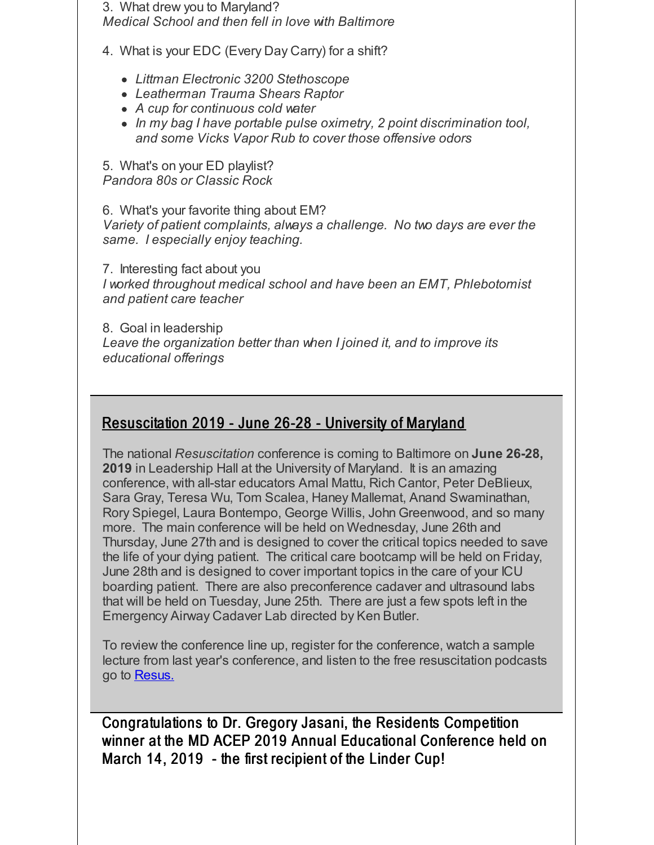3. What drew you to Maryland?

*Medical School and then fell in love with Baltimore*

4. What is your EDC (Every Day Carry) for a shift?

- *Littman Electronic 3200 Stethoscope*
- *Leatherman Trauma Shears Raptor*
- *A cup for continuous cold water*
- *In my bag I have portable pulse oximetry, 2 point discrimination tool, and some Vicks Vapor Rub to cover those offensive odors*

5. What's on your ED playlist? *Pandora 80s or Classic Rock*

6. What's your favorite thing about EM? *Variety of patient complaints, always a challenge. No two days are ever the same. I especially enjoy teaching.*

7. Interesting fact about you *I worked throughout medical school and have been an EMT, Phlebotomist and patient care teacher*

8. Goal in leadership *Leave the organization better than when I joined it, and to improve its educational offerings*

## Resuscitation 2019 - June 26-28 - University of Maryland

The national *Resuscitation* conference is coming to Baltimore on **June 26-28, 2019** in Leadership Hall at the University of Maryland. It is an amazing conference, with all-star educators Amal Mattu, Rich Cantor, Peter DeBlieux, Sara Gray, Teresa Wu, Tom Scalea, Haney Mallemat, Anand Swaminathan, Rory Spiegel, Laura Bontempo, George Willis, John Greenwood, and so many more. The main conference will be held on Wednesday, June 26th and Thursday, June 27th and is designed to cover the critical topics needed to save the life of your dying patient. The critical care bootcamp will be held on Friday, June 28th and is designed to cover important topics in the care of your ICU boarding patient. There are also preconference cadaver and ultrasound labs that will be held on Tuesday, June 25th. There are just a few spots left in the Emergency Airway Cadaver Lab directed by Ken Butler.

To review the conference line up, register for the conference, watch a sample lecture from last year's conference, and listen to the free resuscitation podcasts go to [Resus.](http://r20.rs6.net/tn.jsp?f=0016yCbUAb8SE1h6kiSF8tsFJ2T03Hmo6qxBDXv05cC-o6VAKHCeYAYze3cnDfkJMe5hFcAhI3AT08p16FGhgXcJOQMGImrIoHZmUhxK8kNRXagBXxtB4bqzEH0-u9-2AOtqJzYMGu4w5yO6EY-DgG_D-UyBHV4o-FRMu596BmH8rEVrZ8DUHKbmg==&c=&ch=)

Congratulations to Dr. Gregory Jasani, the Residents Competition winner at the MD ACEP 2019 Annual Educational Conference held on March 14, 2019 - the first recipient of the Linder Cup!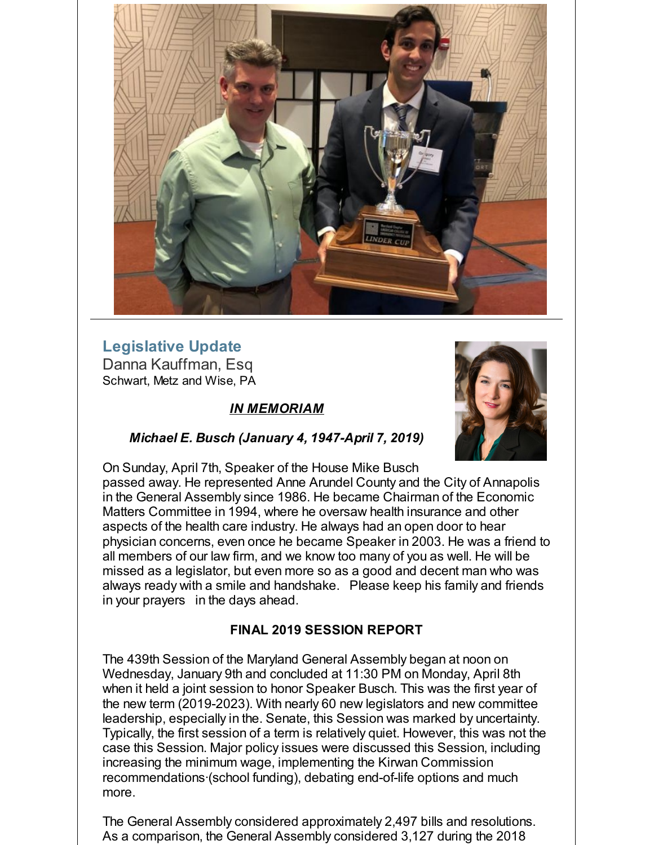

## **Legislative Update** Danna Kauffman, Esq Schwart, Metz and Wise, PA

## *IN MEMORIAM*



#### *Michael E. Busch (January 4, 1947-April 7, 2019)*

On Sunday, April 7th, Speaker of the House Mike Busch passed away. He represented Anne Arundel County and the City of Annapolis in the General Assembly since 1986. He became Chairman of the Economic Matters Committee in 1994, where he oversaw health insurance and other aspects of the health care industry. He always had an open door to hear physician concerns, even once he became Speaker in 2003. He was a friend to all members of our law firm, and we know too many of you as well. He will be missed as a legislator, but even more so as a good and decent man who was always ready with a smile and handshake. Please keep his family and friends in your prayers in the days ahead.

#### **FINAL 2019 SESSION REPORT**

The 439th Session of the Maryland General Assembly began at noon on Wednesday, January 9th and concluded at 11:30 PM on Monday, April 8th when it held a joint session to honor Speaker Busch. This was the first year of the new term (2019-2023). With nearly 60 new legislators and new committee leadership, especially in the. Senate, this Session was marked by uncertainty. Typically, the first session of a term is relatively quiet. However, this was not the case this Session. Major policy issues were discussed this Session, including increasing the minimum wage, implementing the Kirwan Commission recommendations·(school funding), debating end-of-life options and much more.

The General Assembly considered approximately 2,497 bills and resolutions. As a comparison, the General Assembly considered 3,127 during the 2018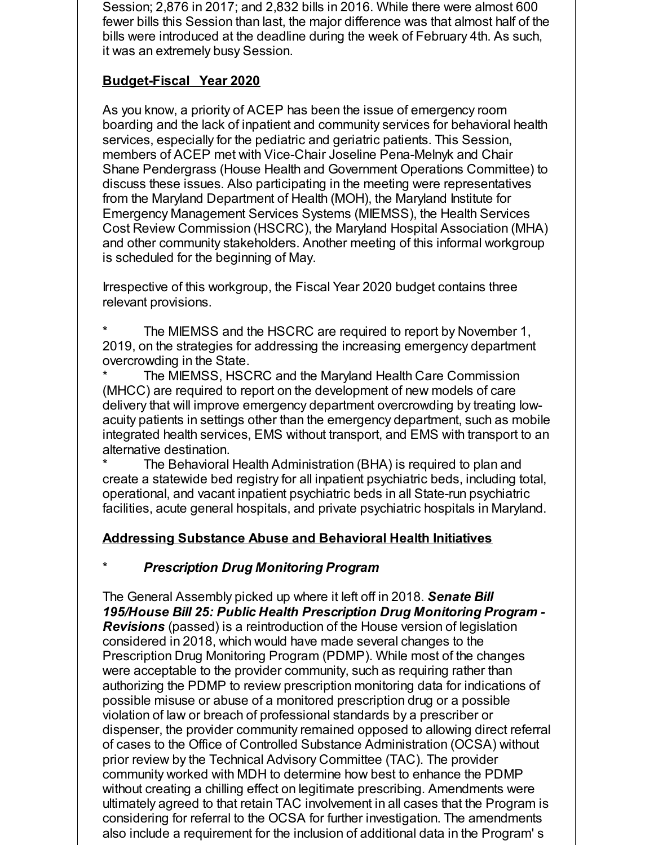Session; 2,876 in 2017; and 2,832 bills in 2016. While there were almost 600 fewer bills this Session than last, the major difference was that almost half of the bills were introduced at the deadline during the week of February 4th. As such, it was an extremely busy Session.

## **Budget-Fiscal Year 2020**

As you know, a priority of ACEP has been the issue of emergency room boarding and the lack of inpatient and community services for behavioral health services, especially for the pediatric and geriatric patients. This Session, members of ACEP met with Vice-Chair Joseline Pena-Melnyk and Chair Shane Pendergrass (House Health and Government Operations Committee) to discuss these issues. Also participating in the meeting were representatives from the Maryland Department of Health (MOH), the Maryland Institute for Emergency Management Services Systems (MIEMSS), the Health Services Cost Review Commission (HSCRC), the Maryland Hospital Association (MHA) and other community stakeholders. Another meeting of this informal workgroup is scheduled for the beginning of May.

Irrespective of this workgroup, the Fiscal Year 2020 budget contains three relevant provisions.

The MIEMSS and the HSCRC are required to report by November 1, 2019, on the strategies for addressing the increasing emergency department overcrowding in the State.

The MIEMSS, HSCRC and the Maryland Health Care Commission (MHCC) are required to report on the development of new models of care delivery that will improve emergency department overcrowding by treating lowacuity patients in settings other than the emergency department, such as mobile integrated health services, EMS without transport, and EMS with transport to an alternative destination.

The Behavioral Health Administration (BHA) is required to plan and create a statewide bed registry for all inpatient psychiatric beds, including total, operational, and vacant inpatient psychiatric beds in all State-run psychiatric facilities, acute general hospitals, and private psychiatric hospitals in Maryland.

## **Addressing Substance Abuse and Behavioral Health Initiatives**

## \* *Prescription Drug Monitoring Program*

The General Assembly picked up where it left off in 2018. *Senate Bill 195/House Bill 25: Public Health Prescription Drug Monitoring Program - Revisions* (passed) is a reintroduction of the House version of legislation considered in 2018, which would have made several changes to the Prescription Drug Monitoring Program (PDMP). While most of the changes were acceptable to the provider community, such as requiring rather than authorizing the PDMP to review prescription monitoring data for indications of possible misuse or abuse of a monitored prescription drug or a possible violation of law or breach of professional standards by a prescriber or dispenser, the provider community remained opposed to allowing direct referral of cases to the Office of Controlled Substance Administration (OCSA) without prior review by the Technical Advisory Committee (TAC). The provider community worked with MDH to determine how best to enhance the PDMP without creating a chilling effect on legitimate prescribing. Amendments were ultimately agreed to that retain TAC involvement in all cases that the Program is considering for referral to the OCSA for further investigation. The amendments also include a requirement for the inclusion of additional data in the Program' s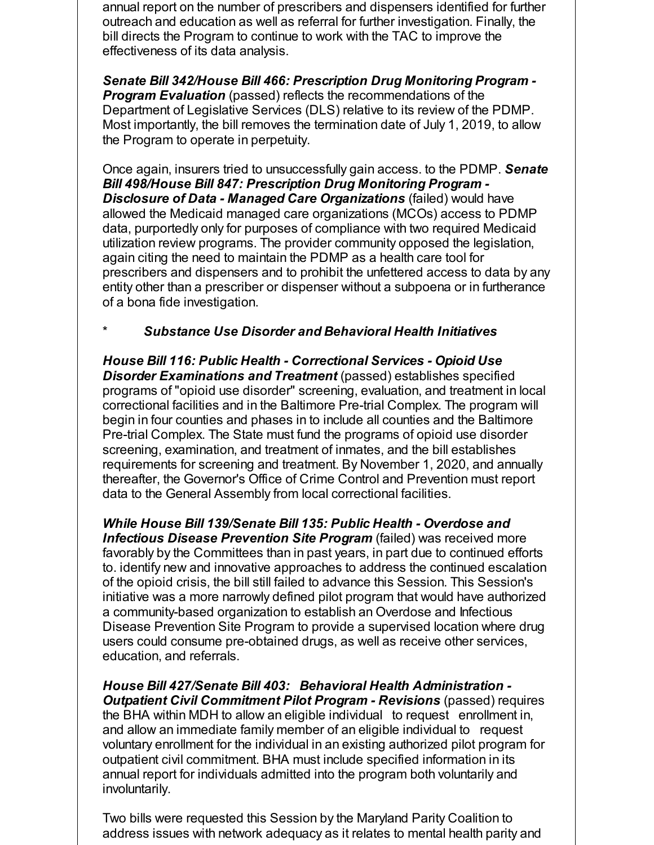annual report on the number of prescribers and dispensers identified for further outreach and education as well as referral for further investigation. Finally, the bill directs the Program to continue to work with the TAC to improve the effectiveness of its data analysis.

*Senate Bill 342/House Bill 466: Prescription Drug Monitoring Program - Program Evaluation* (passed) reflects the recommendations of the Department of Legislative Services (DLS) relative to its review of the PDMP. Most importantly, the bill removes the termination date of July 1, 2019, to allow the Program to operate in perpetuity.

Once again, insurers tried to unsuccessfully gain access. to the PDMP. *Senate Bill 498/House Bill 847: Prescription Drug Monitoring Program - Disclosure of Data - Managed Care Organizations* (failed) would have allowed the Medicaid managed care organizations (MCOs) access to PDMP data, purportedly only for purposes of compliance with two required Medicaid utilization review programs. The provider community opposed the legislation, again citing the need to maintain the PDMP as a health care tool for prescribers and dispensers and to prohibit the unfettered access to data by any entity other than a prescriber or dispenser without a subpoena or in furtherance of a bona fide investigation.

#### \* *Substance Use Disorder and Behavioral Health Initiatives*

*House Bill 116: Public Health - Correctional Services - Opioid Use Disorder Examinations and Treatment* (passed) establishes specified programs of "opioid use disorder" screening, evaluation, and treatment in local correctional facilities and in the Baltimore Pre-trial Complex. The program will begin in four counties and phases in to include all counties and the Baltimore Pre-trial Complex. The State must fund the programs of opioid use disorder screening, examination, and treatment of inmates, and the bill establishes requirements for screening and treatment. By November 1, 2020, and annually thereafter, the Governor's Office of Crime Control and Prevention must report data to the General Assembly from local correctional facilities.

*While House Bill 139/Senate Bill 135: Public Health - Overdose and Infectious Disease Prevention Site Program* (failed) was received more favorably by the Committees than in past years, in part due to continued efforts to. identify new and innovative approaches to address the continued escalation of the opioid crisis, the bill still failed to advance this Session. This Session's initiative was a more narrowly defined pilot program that would have authorized a community-based organization to establish an Overdose and Infectious Disease Prevention Site Program to provide a supervised location where drug users could consume pre-obtained drugs, as well as receive other services, education, and referrals.

*House Bill 427/Senate Bill 403: Behavioral Health Administration - Outpatient Civil Commitment Pilot Program - Revisions* (passed) requires the BHA within MDH to allow an eligible individual to request enrollment in, and allow an immediate family member of an eligible individual to request voluntary enrollment for the individual in an existing authorized pilot program for outpatient civil commitment. BHA must include specified information in its annual report for individuals admitted into the program both voluntarily and involuntarily.

Two bills were requested this Session by the Maryland Parity Coalition to address issues with network adequacy as it relates to mental health parity and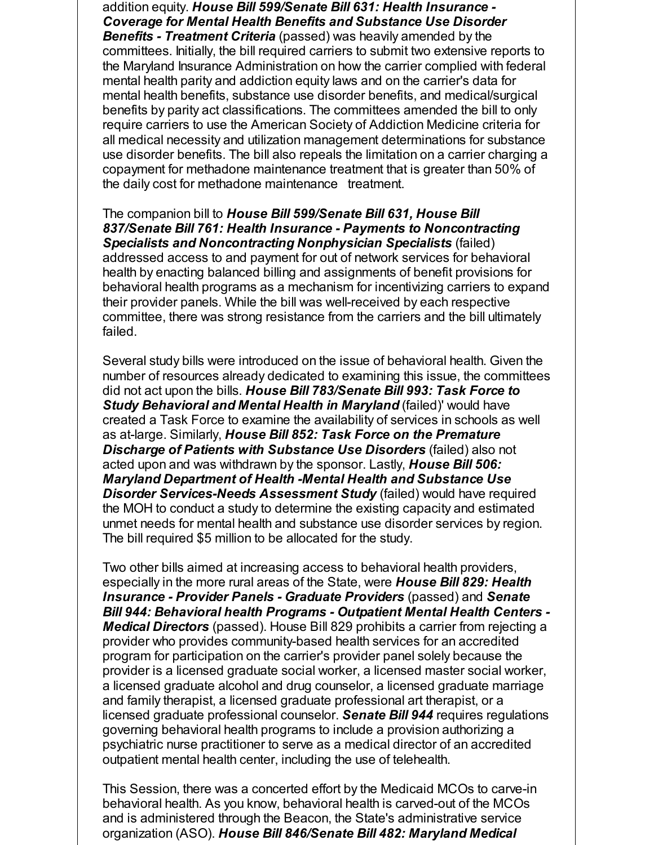addition equity. *House Bill 599/Senate Bill 631: Health Insurance - Coverage for Mental Health Benefits and Substance Use Disorder*

*Benefits - Treatment Criteria* (passed) was heavily amended by the committees. Initially, the bill required carriers to submit two extensive reports to the Maryland Insurance Administration on how the carrier complied with federal mental health parity and addiction equity laws and on the carrier's data for mental health benefits, substance use disorder benefits, and medical/surgical benefits by parity act classifications. The committees amended the bill to only require carriers to use the American Society of Addiction Medicine criteria for all medical necessity and utilization management determinations for substance use disorder benefits. The bill also repeals the limitation on a carrier charging a copayment for methadone maintenance treatment that is greater than 50% of the daily cost for methadone maintenance treatment.

The companion bill to *House Bill 599/Senate Bill 631, House Bill 837/Senate Bill 761: Health Insurance - Payments to Noncontracting Specialists and Noncontracting Nonphysician Specialists* (failed) addressed access to and payment for out of network services for behavioral health by enacting balanced billing and assignments of benefit provisions for behavioral health programs as a mechanism for incentivizing carriers to expand their provider panels. While the bill was well-received by each respective committee, there was strong resistance from the carriers and the bill ultimately failed.

Several study bills were introduced on the issue of behavioral health. Given the number of resources already dedicated to examining this issue, the committees did not act upon the bills. *House Bill 783/Senate Bill 993: Task Force to Study Behavioral and Mental Health in Maryland* (failed)' would have created a Task Force to examine the availability of services in schools as well as at-large. Similarly, *House Bill 852: Task Force on the Premature Discharge of Patients with Substance Use Disorders* (failed) also not acted upon and was withdrawn by the sponsor. Lastly, *House Bill 506: Maryland Department of Health -Mental Health and Substance Use Disorder Services-Needs Assessment Study* (failed) would have required the MOH to conduct a study to determine the existing capacity and estimated unmet needs for mental health and substance use disorder services by region. The bill required \$5 million to be allocated for the study.

Two other bills aimed at increasing access to behavioral health providers, especially in the more rural areas of the State, were *House Bill 829: Health Insurance - Provider Panels - Graduate Providers* (passed) and *Senate Bill 944: Behavioral health Programs - Outpatient Mental Health Centers - Medical Directors* (passed). House Bill 829 prohibits a carrier from rejecting a provider who provides community-based health services for an accredited program for participation on the carrier's provider panel solely because the provider is a licensed graduate social worker, a licensed master social worker, a licensed graduate alcohol and drug counselor, a licensed graduate marriage and family therapist, a licensed graduate professional art therapist, or a licensed graduate professional counselor. *Senate Bill 944* requires regulations governing behavioral health programs to include a provision authorizing a psychiatric nurse practitioner to serve as a medical director of an accredited outpatient mental health center, including the use of telehealth.

This Session, there was a concerted effort by the Medicaid MCOs to carve-in behavioral health. As you know, behavioral health is carved-out of the MCOs and is administered through the Beacon, the State's administrative service organization (ASO). *House Bill 846/Senate Bill 482: Maryland Medical*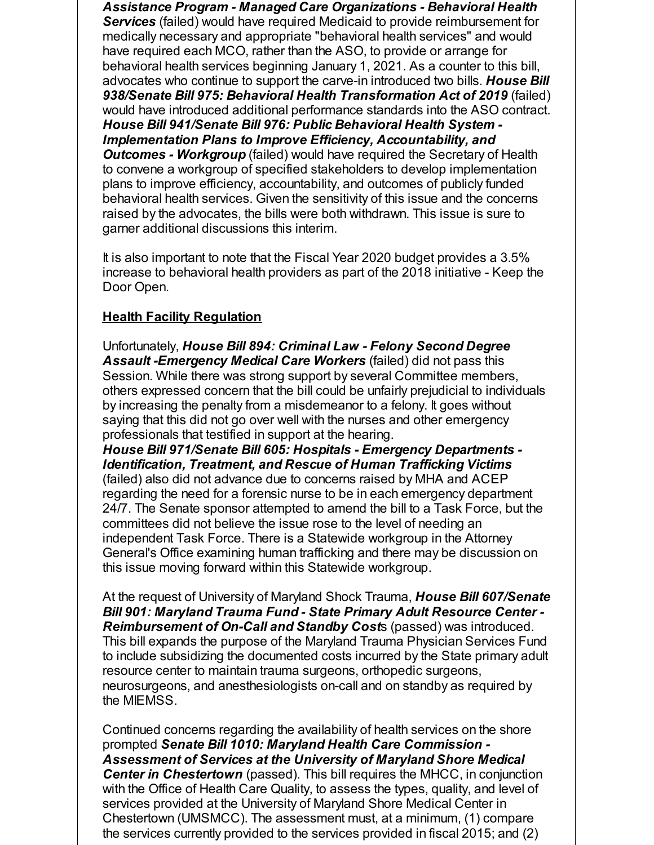*Assistance Program - Managed Care Organizations - Behavioral Health Services* (failed) would have required Medicaid to provide reimbursement for medically necessary and appropriate "behavioral health services" and would have required each MCO, rather than the ASO, to provide or arrange for behavioral health services beginning January 1, 2021. As a counter to this bill, advocates who continue to support the carve-in introduced two bills. *House Bill 938/Senate Bill 975: Behavioral Health Transformation Act of 2019* (failed) would have introduced additional performance standards into the ASO contract. *House Bill 941/Senate Bill 976: Public Behavioral Health System - Implementation Plans to Improve Efficiency, Accountability, and Outcomes - Workgroup* (failed) would have required the Secretary of Health to convene a workgroup of specified stakeholders to develop implementation plans to improve efficiency, accountability, and outcomes of publicly funded behavioral health services. Given the sensitivity of this issue and the concerns raised by the advocates, the bills were both withdrawn. This issue is sure to garner additional discussions this interim.

It is also important to note that the Fiscal Year 2020 budget provides a 3.5% increase to behavioral health providers as part of the 2018 initiative - Keep the Door Open.

#### **Health Facility Regulation**

Unfortunately, *House Bill 894: Criminal Law - Felony Second Degree Assault -Emergency Medical Care Workers* (failed) did not pass this Session. While there was strong support by several Committee members, others expressed concern that the bill could be unfairly prejudicial to individuals by increasing the penalty from a misdemeanor to a felony. It goes without saying that this did not go over well with the nurses and other emergency professionals that testified in support at the hearing.

*House Bill 971/Senate Bill 605: Hospitals - Emergency Departments - Identification, Treatment, and Rescue of Human Trafficking Victims* (failed) also did not advance due to concerns raised by MHA and ACEP regarding the need for a forensic nurse to be in each emergency department 24/7. The Senate sponsor attempted to amend the bill to a Task Force, but the committees did not believe the issue rose to the level of needing an independent Task Force. There is a Statewide workgroup in the Attorney General's Office examining human trafficking and there may be discussion on this issue moving forward within this Statewide workgroup.

At the request of University of Maryland Shock Trauma, *House Bill 607/Senate Bill 901: Maryland Trauma Fund - State Primary Adult Resource Center - Reimbursement of On-Call and Standby Cost*s (passed) was introduced. This bill expands the purpose of the Maryland Trauma Physician Services Fund to include subsidizing the documented costs incurred by the State primary adult resource center to maintain trauma surgeons, orthopedic surgeons, neurosurgeons, and anesthesiologists on-call and on standby as required by the MIEMSS.

Continued concerns regarding the availability of health services on the shore prompted *Senate Bill 1010: Maryland Health Care Commission - Assessment of Services at the University of Maryland Shore Medical Center in Chestertown* (passed). This bill requires the MHCC, in conjunction with the Office of Health Care Quality, to assess the types, quality, and level of services provided at the University of Maryland Shore Medical Center in Chestertown (UMSMCC). The assessment must, at a minimum, (1) compare the services currently provided to the services provided in fiscal 2015; and (2)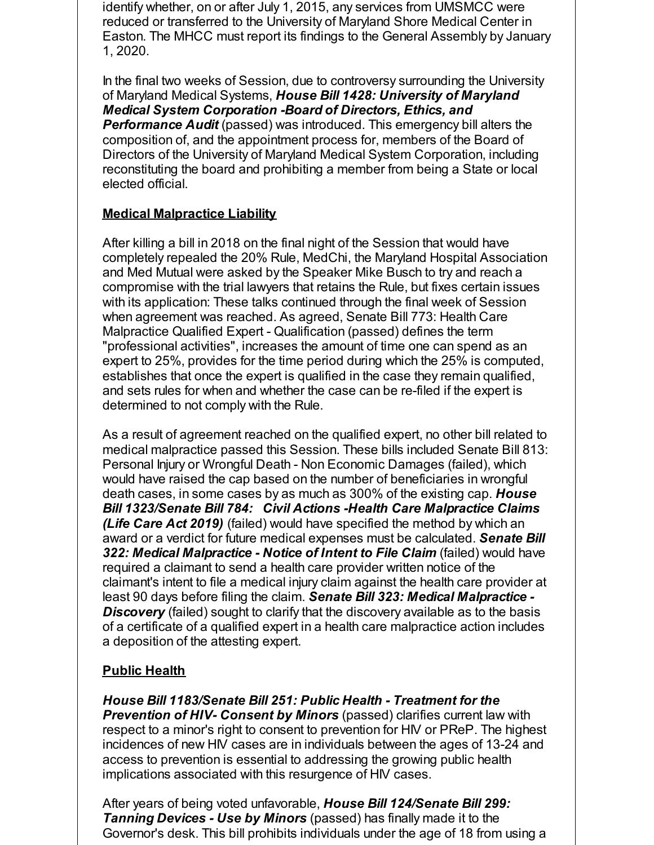identify whether, on or after July 1, 2015, any services from UMSMCC were reduced or transferred to the University of Maryland Shore Medical Center in Easton. The MHCC must report its findings to the General Assembly by January 1, 2020.

In the final two weeks of Session, due to controversy surrounding the University of Maryland Medical Systems, *House Bill 1428: University of Maryland Medical System Corporation -Board of Directors, Ethics, and Performance Audit* (passed) was introduced. This emergency bill alters the composition of, and the appointment process for, members of the Board of Directors of the University of Maryland Medical System Corporation, including reconstituting the board and prohibiting a member from being a State or local elected official.

#### **Medical Malpractice Liability**

After killing a bill in 2018 on the final night of the Session that would have completely repealed the 20% Rule, MedChi, the Maryland Hospital Association and Med Mutual were asked by the Speaker Mike Busch to try and reach a compromise with the trial lawyers that retains the Rule, but fixes certain issues with its application: These talks continued through the final week of Session when agreement was reached. As agreed, Senate Bill 773: Health Care Malpractice Qualified Expert - Qualification (passed) defines the term "professional activities", increases the amount of time one can spend as an expert to 25%, provides for the time period during which the 25% is computed, establishes that once the expert is qualified in the case they remain qualified, and sets rules for when and whether the case can be re-filed if the expert is determined to not comply with the Rule.

As a result of agreement reached on the qualified expert, no other bill related to medical malpractice passed this Session. These bills included Senate Bill 813: Personal Injury or Wrongful Death - Non Economic Damages (failed), which would have raised the cap based on the number of beneficiaries in wrongful death cases, in some cases by as much as 300% of the existing cap. *House Bill 1323/Senate Bill 784: Civil Actions -Health Care Malpractice Claims (Life Care Act 2019)* (failed) would have specified the method by which an award or a verdict for future medical expenses must be calculated. *Senate Bill 322: Medical Malpractice - Notice of Intent to File Claim* (failed) would have required a claimant to send a health care provider written notice of the claimant's intent to file a medical injury claim against the health care provider at least 90 days before filing the claim. *Senate Bill 323: Medical Malpractice - Discovery* (failed) sought to clarify that the discovery available as to the basis of a certificate of a qualified expert in a health care malpractice action includes a deposition of the attesting expert.

#### **Public Health**

*House Bill 1183/Senate Bill 251: Public Health - Treatment for the Prevention of HIV- Consent by Minors* (passed) clarifies current law with respect to a minor's right to consent to prevention for HIV or PReP. The highest incidences of new HIV cases are in individuals between the ages of 13-24 and access to prevention is essential to addressing the growing public health implications associated with this resurgence of HIV cases.

After years of being voted unfavorable, *House Bill 124/Senate Bill 299: Tanning Devices - Use by Minors* (passed) has finally made it to the Governor's desk. This bill prohibits individuals under the age of 18 from using a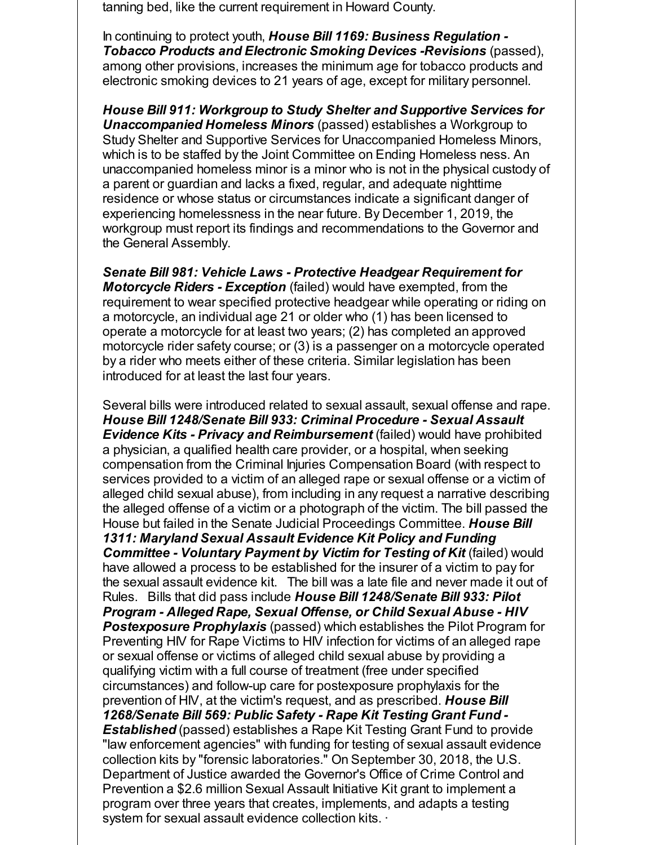tanning bed, like the current requirement in Howard County.

In continuing to protect youth, *House Bill 1169: Business Regulation - Tobacco Products and Electronic Smoking Devices -Revisions* (passed), among other provisions, increases the minimum age for tobacco products and electronic smoking devices to 21 years of age, except for military personnel.

*House Bill 911: Workgroup to Study Shelter and Supportive Services for Unaccompanied Homeless Minors* (passed) establishes a Workgroup to Study Shelter and Supportive Services for Unaccompanied Homeless Minors, which is to be staffed by the Joint Committee on Ending Homeless ness. An unaccompanied homeless minor is a minor who is not in the physical custody of a parent or guardian and lacks a fixed, regular, and adequate nighttime residence or whose status or circumstances indicate a significant danger of experiencing homelessness in the near future. By December 1, 2019, the workgroup must report its findings and recommendations to the Governor and the General Assembly.

*Senate Bill 981: Vehicle Laws - Protective Headgear Requirement for Motorcycle Riders - Exception* (failed) would have exempted, from the requirement to wear specified protective headgear while operating or riding on a motorcycle, an individual age 21 or older who (1) has been licensed to operate a motorcycle for at least two years; (2) has completed an approved motorcycle rider safety course; or (3) is a passenger on a motorcycle operated by a rider who meets either of these criteria. Similar legislation has been introduced for at least the last four years.

Several bills were introduced related to sexual assault, sexual offense and rape. *House Bill 1248/Senate Bill 933: Criminal Procedure - Sexual Assault Evidence Kits - Privacy and Reimbursement* (failed) would have prohibited a physician, a qualified health care provider, or a hospital, when seeking compensation from the Criminal Injuries Compensation Board (with respect to services provided to a victim of an alleged rape or sexual offense or a victim of alleged child sexual abuse), from including in any request a narrative describing the alleged offense of a victim or a photograph of the victim. The bill passed the House but failed in the Senate Judicial Proceedings Committee. *House Bill 1311: Maryland Sexual Assault Evidence Kit Policy and Funding Committee - Voluntary Payment by Victim for Testing of Kit* (failed) would have allowed a process to be established for the insurer of a victim to pay for the sexual assault evidence kit. The bill was a late file and never made it out of Rules. Bills that did pass include *House Bill 1248/Senate Bill 933: Pilot Program - Alleged Rape, Sexual Offense, or Child Sexual Abuse - HIV Postexposure Prophylaxis* (passed) which establishes the Pilot Program for Preventing HIV for Rape Victims to HIV infection for victims of an alleged rape or sexual offense or victims of alleged child sexual abuse by providing a qualifying victim with a full course of treatment (free under specified circumstances) and follow-up care for postexposure prophylaxis for the prevention of HIV, at the victim's request, and as prescribed. *House Bill 1268/Senate Bill 569: Public Safety - Rape Kit Testing Grant Fund - Established* (passed) establishes a Rape Kit Testing Grant Fund to provide "law enforcement agencies" with funding for testing of sexual assault evidence collection kits by "forensic laboratories." On September 30, 2018, the U.S. Department of Justice awarded the Governor's Office of Crime Control and Prevention a \$2.6 million Sexual Assault Initiative Kit grant to implement a program over three years that creates, implements, and adapts a testing system for sexual assault evidence collection kits. ·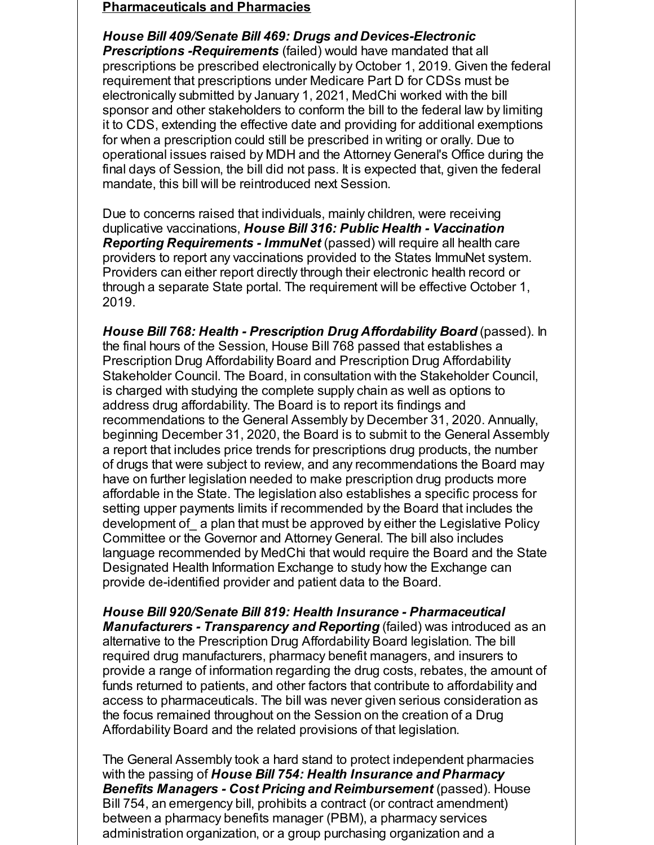#### **Pharmaceuticals and Pharmacies**

*House Bill 409/Senate Bill 469: Drugs and Devices-Electronic Prescriptions -Requirements* (failed) would have mandated that all prescriptions be prescribed electronically by October 1, 2019. Given the federal requirement that prescriptions under Medicare Part D for CDSs must be electronically submitted by January 1, 2021, MedChi worked with the bill sponsor and other stakeholders to conform the bill to the federal law by limiting it to CDS, extending the effective date and providing for additional exemptions for when a prescription could still be prescribed in writing or orally. Due to operational issues raised by MDH and the Attorney General's Office during the final days of Session, the bill did not pass. It is expected that, given the federal mandate, this bill will be reintroduced next Session.

Due to concerns raised that individuals, mainly children, were receiving duplicative vaccinations, *House Bill 316: Public Health - Vaccination Reporting Requirements - ImmuNet* (passed) will require all health care providers to report any vaccinations provided to the States ImmuNet system. Providers can either report directly through their electronic health record or through a separate State portal. The requirement will be effective October 1, 2019.

*House Bill 768: Health - Prescription Drug Affordability Board* (passed). In the final hours of the Session, House Bill 768 passed that establishes a Prescription Drug Affordability Board and Prescription Drug Affordability Stakeholder Council. The Board, in consultation with the Stakeholder Council, is charged with studying the complete supply chain as well as options to address drug affordability. The Board is to report its findings and recommendations to the General Assembly by December 31, 2020. Annually, beginning December 31, 2020, the Board is to submit to the General Assembly a report that includes price trends for prescriptions drug products, the number of drugs that were subject to review, and any recommendations the Board may have on further legislation needed to make prescription drug products more affordable in the State. The legislation also establishes a specific process for setting upper payments limits if recommended by the Board that includes the development of\_ a plan that must be approved by either the Legislative Policy Committee or the Governor and Attorney General. The bill also includes language recommended by MedChi that would require the Board and the State Designated Health Information Exchange to study how the Exchange can provide de-identified provider and patient data to the Board.

*House Bill 920/Senate Bill 819: Health Insurance - Pharmaceutical Manufacturers - Transparency and Reporting* (failed) was introduced as an alternative to the Prescription Drug Affordability Board legislation. The bill required drug manufacturers, pharmacy benefit managers, and insurers to provide a range of information regarding the drug costs, rebates, the amount of funds returned to patients, and other factors that contribute to affordability and access to pharmaceuticals. The bill was never given serious consideration as the focus remained throughout on the Session on the creation of a Drug Affordability Board and the related provisions of that legislation.

The General Assembly took a hard stand to protect independent pharmacies with the passing of *House Bill 754: Health Insurance and Pharmacy Benefits Managers - Cost Pricing and Reimbursement* (passed). House Bill 754, an emergency bill, prohibits a contract (or contract amendment) between a pharmacy benefits manager (PBM), a pharmacy services administration organization, or a group purchasing organization and a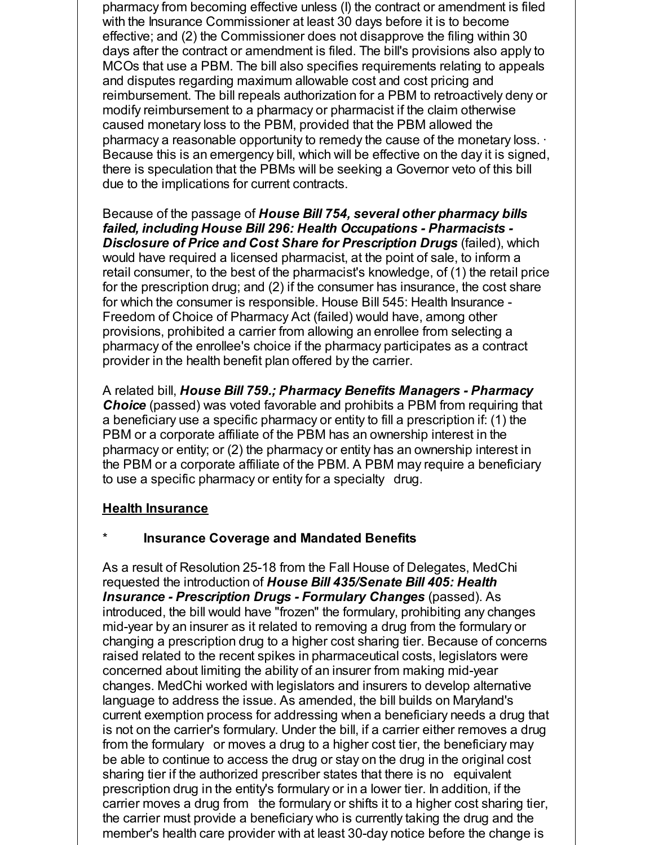pharmacy from becoming effective unless (I) the contract or amendment is filed with the Insurance Commissioner at least 30 days before it is to become effective; and (2) the Commissioner does not disapprove the filing within 30 days after the contract or amendment is filed. The bill's provisions also apply to MCOs that use a PBM. The bill also specifies requirements relating to appeals and disputes regarding maximum allowable cost and cost pricing and reimbursement. The bill repeals authorization for a PBM to retroactively deny or modify reimbursement to a pharmacy or pharmacist if the claim otherwise caused monetary loss to the PBM, provided that the PBM allowed the pharmacy a reasonable opportunity to remedy the cause of the monetary loss. · Because this is an emergency bill, which will be effective on the day it is signed, there is speculation that the PBMs will be seeking a Governor veto of this bill due to the implications for current contracts.

Because of the passage of *House Bill 754, several other pharmacy bills failed, including House Bill 296: Health Occupations - Pharmacists - Disclosure of Price and Cost Share for Prescription Drugs* (failed), which would have required a licensed pharmacist, at the point of sale, to inform a retail consumer, to the best of the pharmacist's knowledge, of (1) the retail price for the prescription drug; and (2) if the consumer has insurance, the cost share for which the consumer is responsible. House Bill 545: Health Insurance - Freedom of Choice of Pharmacy Act (failed) would have, among other provisions, prohibited a carrier from allowing an enrollee from selecting a pharmacy of the enrollee's choice if the pharmacy participates as a contract provider in the health benefit plan offered by the carrier.

A related bill, *House Bill 759.; Pharmacy Benefits Managers - Pharmacy Choice* (passed) was voted favorable and prohibits a PBM from requiring that a beneficiary use a specific pharmacy or entity to fill a prescription if: (1) the PBM or a corporate affiliate of the PBM has an ownership interest in the pharmacy or entity; or (2) the pharmacy or entity has an ownership interest in the PBM or a corporate affiliate of the PBM. A PBM may require a beneficiary to use a specific pharmacy or entity for a specialty drug.

#### **Health Insurance**

#### **Insurance Coverage and Mandated Benefits**

As a result of Resolution 25-18 from the Fall House of Delegates, MedChi requested the introduction of *House Bill 435/Senate Bill 405: Health Insurance - Prescription Drugs - Formulary Changes* (passed). As introduced, the bill would have "frozen" the formulary, prohibiting any changes mid-year by an insurer as it related to removing a drug from the formulary or changing a prescription drug to a higher cost sharing tier. Because of concerns raised related to the recent spikes in pharmaceutical costs, legislators were concerned about limiting the ability of an insurer from making mid-year changes. MedChi worked with legislators and insurers to develop alternative language to address the issue. As amended, the bill builds on Maryland's current exemption process for addressing when a beneficiary needs a drug that is not on the carrier's formulary. Under the bill, if a carrier either removes a drug from the formulary or moves a drug to a higher cost tier, the beneficiary may be able to continue to access the drug or stay on the drug in the original cost sharing tier if the authorized prescriber states that there is no equivalent prescription drug in the entity's formulary or in a lower tier. In addition, if the carrier moves a drug from the formulary or shifts it to a higher cost sharing tier, the carrier must provide a beneficiary who is currently taking the drug and the member's health care provider with at least 30-day notice before the change is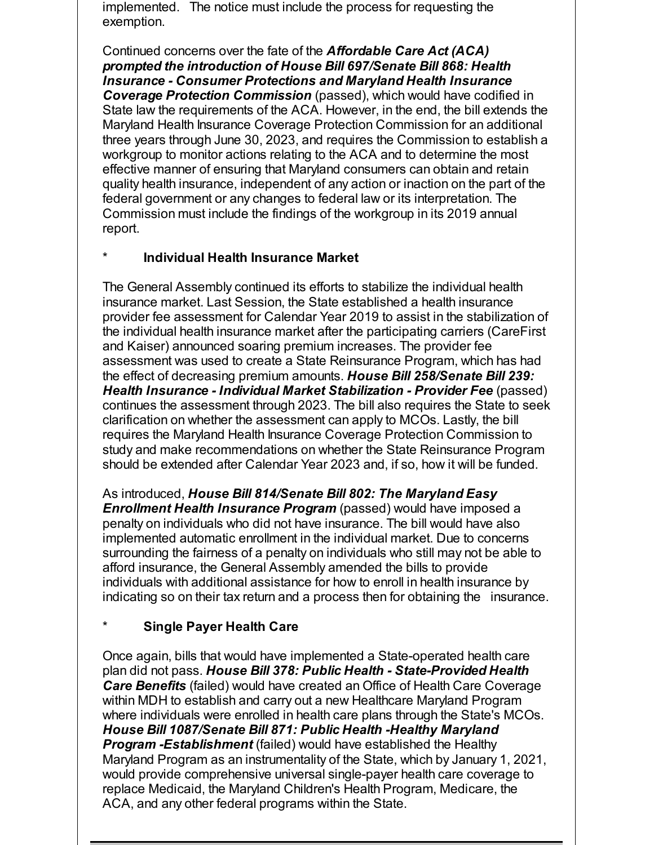implemented. The notice must include the process for requesting the exemption.

Continued concerns over the fate of the *Affordable Care Act (ACA) prompted the introduction of House Bill 697/Senate Bill 868: Health Insurance - Consumer Protections and Maryland Health Insurance Coverage Protection Commission* (passed), which would have codified in State law the requirements of the ACA. However, in the end, the bill extends the Maryland Health Insurance Coverage Protection Commission for an additional three years through June 30, 2023, and requires the Commission to establish a workgroup to monitor actions relating to the ACA and to determine the most effective manner of ensuring that Maryland consumers can obtain and retain quality health insurance, independent of any action or inaction on the part of the federal government or any changes to federal law or its interpretation. The Commission must include the findings of the workgroup in its 2019 annual report.

## \* **Individual Health Insurance Market**

The General Assembly continued its efforts to stabilize the individual health insurance market. Last Session, the State established a health insurance provider fee assessment for Calendar Year 2019 to assist in the stabilization of the individual health insurance market after the participating carriers (CareFirst and Kaiser) announced soaring premium increases. The provider fee assessment was used to create a State Reinsurance Program, which has had the effect of decreasing premium amounts. *House Bill 258/Senate Bill 239: Health Insurance - Individual Market Stabilization - Provider Fee* (passed) continues the assessment through 2023. The bill also requires the State to seek clarification on whether the assessment can apply to MCOs. Lastly, the bill requires the Maryland Health Insurance Coverage Protection Commission to study and make recommendations on whether the State Reinsurance Program should be extended after Calendar Year 2023 and, if so, how it will be funded.

As introduced, *House Bill 814/Senate Bill 802: The Maryland Easy Enrollment Health Insurance Program* (passed) would have imposed a penalty on individuals who did not have insurance. The bill would have also implemented automatic enrollment in the individual market. Due to concerns surrounding the fairness of a penalty on individuals who still may not be able to afford insurance, the General Assembly amended the bills to provide individuals with additional assistance for how to enroll in health insurance by indicating so on their tax return and a process then for obtaining the insurance.

## \* **Single Payer Health Care**

Once again, bills that would have implemented a State-operated health care plan did not pass. *House Bill 378: Public Health - State-Provided Health Care Benefits* (failed) would have created an Office of Health Care Coverage within MDH to establish and carry out a new Healthcare Maryland Program where individuals were enrolled in health care plans through the State's MCOs. *House Bill 1087/Senate Bill 871: Public Health -Healthy Maryland Program -Establishment* (failed) would have established the Healthy Maryland Program as an instrumentality of the State, which by January 1, 2021, would provide comprehensive universal single-payer health care coverage to replace Medicaid, the Maryland Children's Health Program, Medicare, the ACA, and any other federal programs within the State.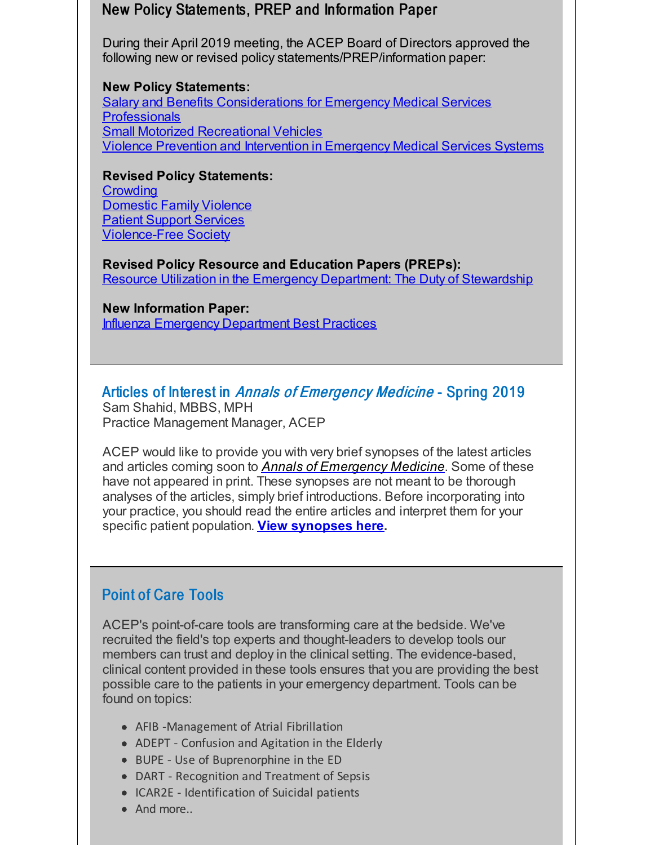## New Policy Statements, PREP and Information Paper

During their April 2019 meeting, the ACEP Board of Directors approved the following new or revised policy statements/PREP/information paper:

**New Policy Statements:** Salary and Benefits [Considerations](http://r20.rs6.net/tn.jsp?f=0016yCbUAb8SE1h6kiSF8tsFJ2T03Hmo6qxBDXv05cC-o6VAKHCeYAYze3cnDfkJMe5HvY-62YqjvLRGlexyjW_3ICsaeDb0trErB0Nn3A_KPQapGYxuqfdhXEaNmtIGo4KqUJr7NCtX58WZ637GZ-OSqtFz-FCM4oUzDXciezs3lBiaUfGLsTRX9_cDdCkltNTjVH2l6fnK6p10ynMN5vOih71_zeIS6xUbomCmdQnFSlcJzE1FnhsBb88T-i3GRbewTyAWDbkYe49IS0T8Mcv7pZ8sJDi9Tvx61uL5ClqEQUQJbgG_AEdCCMuJH3nApvgU8SJeyUvfWY=&c=&ch=) for Emergency Medical Services **Professionals** Small Motorized [Recreational](http://r20.rs6.net/tn.jsp?f=0016yCbUAb8SE1h6kiSF8tsFJ2T03Hmo6qxBDXv05cC-o6VAKHCeYAYze3cnDfkJMe5KghIBCLuuH4uKzE_3oahaVSJJw-q5MPKlXSlArSCbNScNzYwv27OwB5QvvBkY0WSxze6eMDaNAb011Y4NrbbOOpovpOOdNRmCMSEon1mv16_bDgZma_vmwQGYJvvDYcgW3q0qfv4ogQgYoZEtIYf5faH7auY77WRv6AtsN1NUsB8-1rJ1FwpzmGV6r1LHF6f0zCnojxngrU=&c=&ch=) Vehicles Violence Prevention and Intervention in [Emergency](http://r20.rs6.net/tn.jsp?f=0016yCbUAb8SE1h6kiSF8tsFJ2T03Hmo6qxBDXv05cC-o6VAKHCeYAYze3cnDfkJMe583WIlHc0s_ZyoGIIvoVhNoZFOGoWRymNRwLSy-7SuyUs8L7tdx4qWIecuDYkv5yLurGCMMs3QfwV3YexLGG2OyM0AD4pxrkUpxYcbWyiQRGC3d_lNEuD3z0s5EbShG_a4vh0ThGBEWm2epGwQLnosUp7xY2DpFxnVItRKgvK8l2owWlm2DeIJzv_mX42Uf1wVbgB2PSzHF1ESXXtipTEnmTfHh2x6gcd9Yqb_rKw1RCicIGTYbtzkcdFiWUJOS5l&c=&ch=) Medical Services Systems

**Revised Policy Statements: [Crowding](http://r20.rs6.net/tn.jsp?f=0016yCbUAb8SE1h6kiSF8tsFJ2T03Hmo6qxBDXv05cC-o6VAKHCeYAYze3cnDfkJMe5nKLSAEdUkBHWAul25VglBywBZmWKOYRXHRd6PcJId-fRUlKsegZDwdwUjCn18B_fwvmJs6efB4O9UXmHocNhe-VFCBe6FAu6ppFjAnCsJHoq884iMU_Hcj9cWAkGcRMacgIkCzQ2u7jRjvKWCXQKzn_IaYjFf_8balMTpaNQCso=&c=&ch=)** [Domestic](http://r20.rs6.net/tn.jsp?f=0016yCbUAb8SE1h6kiSF8tsFJ2T03Hmo6qxBDXv05cC-o6VAKHCeYAYze3cnDfkJMe5pdXM37I0OzNGW7aKsOs4T5YRFu2PGZ07xo3iIRcUJtfRiqvXgMF2zxCv5k_CBy1fUCoFArOUlKq8YK_P1Cf-kE8pF2DbtxCeNNLYvJKtBvcXrIzE1LMvJ3DtvH7gdW5lw7bOly5dAd8-gZUDJpfgoqc4wWzzv8J7jZEWArr5glkRmb7aDR88p8yWOMXt-cq8&c=&ch=) Family Violence Patient Support [Services](http://r20.rs6.net/tn.jsp?f=0016yCbUAb8SE1h6kiSF8tsFJ2T03Hmo6qxBDXv05cC-o6VAKHCeYAYze3cnDfkJMe5L-KxGFaiw9Hz00WLqUimc84_5Hw2Oi-6UVyCcPeiBULemDc5MYXsub6mA9XYb_5pF2no-cE-OXMkJd3NjmtzaTpoo6k5ygGsJsa1D0l8bJQyfTuysM_xzTWXAHNhm1xWSnw14K_Mw7pVPsiuMDuxww1WXJ1DsP1Poz3KgxO56Of0hM2k3qW0nv7G9JrqQQiP&c=&ch=) [Violence-Free](http://r20.rs6.net/tn.jsp?f=0016yCbUAb8SE1h6kiSF8tsFJ2T03Hmo6qxBDXv05cC-o6VAKHCeYAYze3cnDfkJMe5dryfXcUzQ_1vo48ZFiI-q1ns0gisExC8qm5rfSZymnrRvTCNi3qCXpkbOvWSc3-C0fisTD6ArugPuGQHECusK6KL0enNxyXNbCtL5uOLQDACgyXgTb62v9CV2M8c9u7FYZ8Ace4wraimfx_BDwRpXV-MoNqPvEmFfLjBUdbIzQjYLrbg0fspkA==&c=&ch=) Society

**Revised Policy Resource and Education Papers (PREPs):** Resource Utilization in the Emergency Department: The Duty of [Stewardship](http://r20.rs6.net/tn.jsp?f=0016yCbUAb8SE1h6kiSF8tsFJ2T03Hmo6qxBDXv05cC-o6VAKHCeYAYze3cnDfkJMe5dOph7ZpVGfBFdTvGzjzULizLepQwyTHvXRLCZQfOFOK8dqEs-jGl19t3X403TYEQ2wpIFhOqfwV1JSZhM_SAFLdmHBn7RuiG7fspq7xwAIsIYWLFZJh3jf-HLSgzMige-UtxKN48VShSEkk8OCTS8Ct5whDMt5waUAZF_ge88a3Xj6aRvd5Kqx2DsxgwmvpMWyoEQ37rxw5Lq8-qH8WrEJ3TFNP_u1xXO7owrmitb-nsYaQJwA_KkyVEbFxJpd36VK8HpWAgYMk=&c=&ch=)

**New Information Paper:**

Influenza Emergency [Department](http://r20.rs6.net/tn.jsp?f=0016yCbUAb8SE1h6kiSF8tsFJ2T03Hmo6qxBDXv05cC-o6VAKHCeYAYze3cnDfkJMe5OZfUhGFq60ViqdNx2howqkG2vVuZCekekftR9BO3sEfzcZiL1RXobgDF1KlGpNjp3Jr4oYCnqkIBg2k49ev_1jnHG7nsTVjt4tCYvZLsStuHXbVhhEd4lf89F4_VytdHt-A_sajcewPTUwf2EJlNbD2oM4zI1lD0KANSUybrKEWHOjdVH_ozY7fQ54Qzw2bzmVhNnVj96K_5_Oe3MBWUY8VR1CJ5pjO9HrlmuScJrITpv4_rIOJnDIRut9Y467DI63COCMH_0GM=&c=&ch=) Best Practices

Articles of Interest in Annals of Emergency Medicine - Spring 2019

Sam Shahid, MBBS, MPH Practice Management Manager, ACEP

ACEP would like to provide you with very brief synopses of the latest articles and articles coming soon to *Annals of [Emergency](http://r20.rs6.net/tn.jsp?f=0016yCbUAb8SE1h6kiSF8tsFJ2T03Hmo6qxBDXv05cC-o6VAKHCeYAYzbEC8e9YEL-TLvhMepbC_yLgkVxNzCahOkOW8PNi7V8Z0uP4ed8wBJpqLmqLuKFu-Jn32iwOhlHE7uux3TBR7kzBmiSRe12durnXMD-w-r15s2A12-wBiLtgmuKEFVujWcevtetjNg0RGXC6cTCrv_v17lSTBv8ZZCLMBm4kedk3fBgk58OU_9hKLBOH8GMWCqpk7EUg7BD2LHikDZr0MvIwNFsu2-ikFVZ5zatwX9f7wR3I_BmgvEugr9ES5dzEzn7SVOPGTM6xL13TmWE4eoTfMit2VL7ULMDsApum-Pge8JVVHcas6vGrXv9QNWHKYPkd3unctjgGo4T5JVfRgxgKx_ptea21lOA7j6Ym7AmaUac2pOPwJKNSXrDc60JYtGS4eQrpkQgeISLF21GZD_lrgTqZ2TSsVW9mW7VD3u-TRECotNWopI5x_UtaqRtvWy9_r67MvktL1voSH3wM6Q0HiCCjd-gGlIihn-5wL0V1QBZyvg3mzq5AkTYbuppARMhPPkPOBOfyA1qR70Q9C6p2nCcGwAYBMQrYLScccGj3aMAkj7-ubIL8xco-3HWd1cV9nqIlZ-zj7oNNxaC3ld6m8T2LILnaWqzFY0FoD8j-B7BMQTuQzt-BcbyMS0RqncdSKhdW5kp20A5Ho3W5Ro_5JPWr1XU99GF_STJszLf5LYr8UBVxEPieeqhl9oRuHM5f6tbFqp427bHZTc3wkeimxSPTdGOvSpWH6TYJLdBDd0dqEY77tVWwlmRwtEXVCq0AUNdrHzEucX_91LoqtMc91qbVvMy8vqFQ3eF56EutmQAxUWN64VU=&c=&ch=) Medicine*. Some of these have not appeared in print. These synopses are not meant to be thorough analyses of the articles, simply brief introductions. Before incorporating into your practice, you should read the entire articles and interpret them for your specific patient population. **View [synopses](http://r20.rs6.net/tn.jsp?f=0016yCbUAb8SE1h6kiSF8tsFJ2T03Hmo6qxBDXv05cC-o6VAKHCeYAYze3cnDfkJMe5yRHO-yp8z6mJtPv7m8K3vQZPYx8gh8EyUouKnQ4OjThNB0BKmvkoT5COzLX90mHKmaFtURT8u2o_3QVNcALd2BysjgyH-rpxVHmIj7eYeq7Vj75emR0hDm_YcahgnVvSstE730vvSbtOnxiK9JpgzllzLXHmhkFxAkQqEaUOvT02eoS_JRlxCqMrrLgIBhmOWExnUTKcqfrSpjEFvvLa0YtsKdqBtmg7wgUZvlwExeM=&c=&ch=) here.**

## Point of Care Tools

ACEP's point-of-care tools are transforming care at the bedside. We've recruited the field's top experts and thought-leaders to develop tools our members can trust and deploy in the clinical setting. The evidence-based, clinical content provided in these tools ensures that you are providing the best possible care to the patients in your emergency department. Tools can be found on topics:

- AFIB -Management of Atrial Fibrillation
- ADEPT Confusion and Agitation in the Elderly
- BUPE Use of Buprenorphine in the ED
- DART Recognition and Treatment of Sepsis
- ICAR2E Identification of Suicidal patients
- And more...